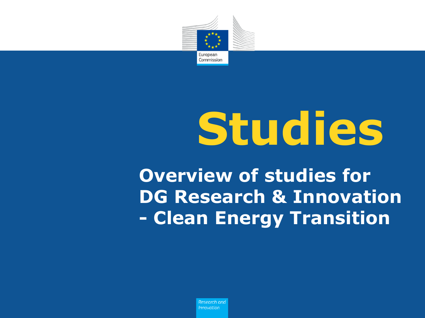

# **Studies**

**Overview of studies for DG Research & Innovation - Clean Energy Transition**

> Research and **Innovation**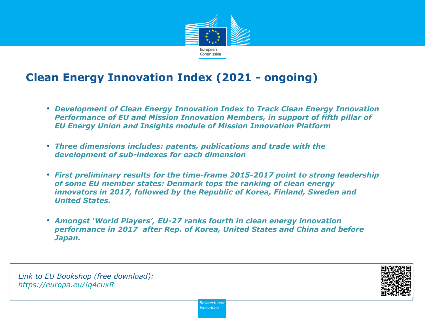

# **Clean Energy Innovation Index (2021 - ongoing)**

- *Development of Clean Energy Innovation Index to Track Clean Energy Innovation Performance of EU and Mission Innovation Members, in support of fifth pillar of EU Energy Union and Insights module of Mission Innovation Platform*
- *Three dimensions includes: patents, publications and trade with the development of sub-indexes for each dimension*
- *First preliminary results for the time-frame 2015-2017 point to strong leadership of some EU member states: Denmark tops the ranking of clean energy innovators in 2017, followed by the Republic of Korea, Finland, Sweden and United States.*
- *Amongst 'World Players', EU-27 ranks fourth in clean energy innovation performance in 2017 after Rep. of Korea, United States and China and before Japan.*

*Link to EU Bookshop (free download): <https://europa.eu/!q4cuxR>*

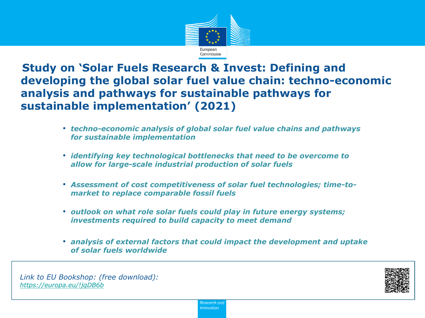

**Study on 'Solar Fuels Research & Invest: Defining and developing the global solar fuel value chain: techno-economic analysis and pathways for sustainable pathways for sustainable implementation' (2021)**

- *techno-economic analysis of global solar fuel value chains and pathways for sustainable implementation*
- *identifying key technological bottlenecks that need to be overcome to allow for large-scale industrial production of solar fuels*
- *Assessment of cost competitiveness of solar fuel technologies; time-tomarket to replace comparable fossil fuels*
- *outlook on what role solar fuels could play in future energy systems; investments required to build capacity to meet demand*
- *analysis of external factors that could impact the development and uptake of solar fuels worldwide*

*Link to EU Bookshop: (free download): <https://europa.eu/!jqDB6b>*

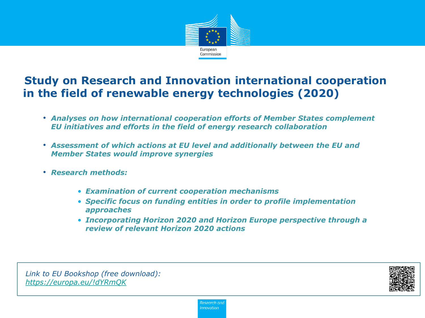

# **Study on Research and Innovation international cooperation in the field of renewable energy technologies (2020)**

- *Analyses on how international cooperation efforts of Member States complement EU initiatives and efforts in the field of energy research collaboration*
- *Assessment of which actions at EU level and additionally between the EU and Member States would improve synergies*
- *Research methods:* 
	- *Examination of current cooperation mechanisms*
	- *Specific focus on funding entities in order to profile implementation approaches*
	- *Incorporating Horizon 2020 and Horizon Europe perspective through a review of relevant Horizon 2020 actions*

*Link to EU Bookshop (free download): <https://europa.eu/!dYRmQK>*

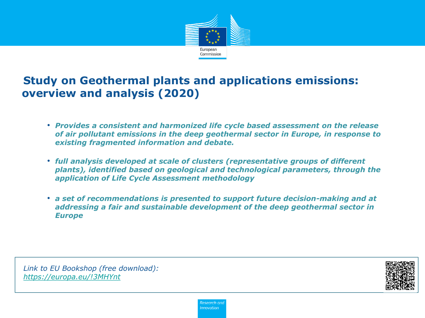

# **Study on Geothermal plants and applications emissions: overview and analysis (2020)**

- *Provides a consistent and harmonized life cycle based assessment on the release of air pollutant emissions in the deep geothermal sector in Europe, in response to existing fragmented information and debate.*
- *full analysis developed at scale of clusters (representative groups of different plants), identified based on geological and technological parameters, through the application of Life Cycle Assessment methodology*
- *a set of recommendations is presented to support future decision-making and at addressing a fair and sustainable development of the deep geothermal sector in Europe*

*Link to EU Bookshop (free download): <https://europa.eu/!3MHYnt>*

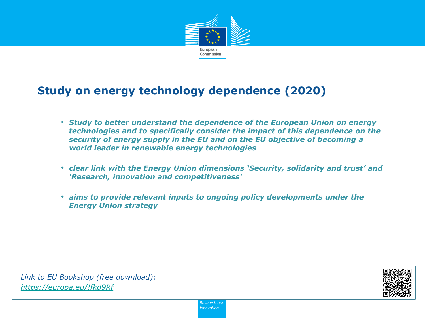

#### **Study on energy technology dependence (2020)**

- *Study to better understand the dependence of the European Union on energy technologies and to specifically consider the impact of this dependence on the security of energy supply in the EU and on the EU objective of becoming a world leader in renewable energy technologies*
- *clear link with the Energy Union dimensions 'Security, solidarity and trust' and 'Research, innovation and competitiveness'*
- *aims to provide relevant inputs to ongoing policy developments under the Energy Union strategy*

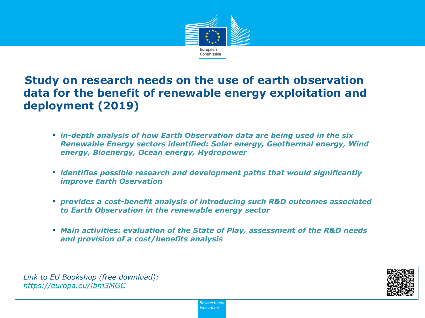

# **Study on research needs on the use of earth observation data for the benefit of renewable energy exploitation and deployment (2019)**

- *in-depth analysis of how Earth Observation data are being used in the six Renewable Energy sectors identified: Solar energy, Geothermal energy, Wind energy, Bioenergy, Ocean energy, Hydropower*
- *identifies possible research and development paths that would significantly improve Earth Oservation*
- *provides a cost-benefit analysis of introducing such R&D outcomes associated to Earth Observation in the renewable energy sector*
- *Main activities: evaluation of the State of Play, assessment of the R&D needs and provision of a cost/benefits analysis*

*Link to EU Bookshop (free download): <https://europa.eu/!bm3MGC>*

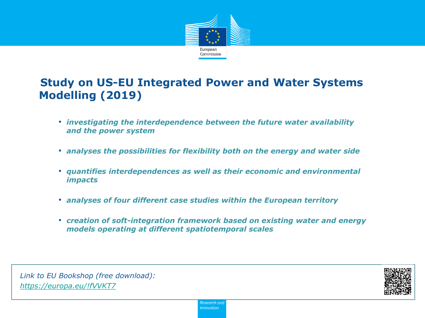

# **Study on US-EU Integrated Power and Water Systems Modelling (2019)**

- *investigating the interdependence between the future water availability and the power system*
- *analyses the possibilities for flexibility both on the energy and water side*
- *quantifies interdependences as well as their economic and environmental impacts*
- *analyses of four different case studies within the European territory*
- *creation of soft-integration framework based on existing water and energy models operating at different spatiotemporal scales*

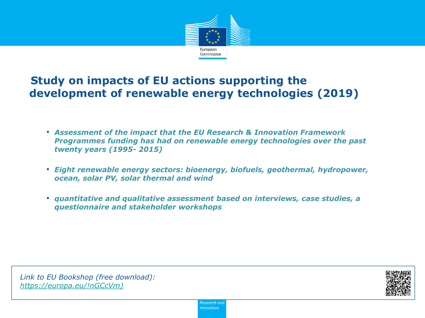

# **Study on impacts of EU actions supporting the development of renewable energy technologies (2019)**

- *Assessment of the impact that the EU Research & Innovation Framework Programmes funding has had on renewable energy technologies over the past twenty years (1995- 2015)*
- *Eight renewable energy sectors: bioenergy, biofuels, geothermal, hydropower, ocean, solar PV, solar thermal and wind*
- *quantitative and qualitative assessment based on interviews, case studies, a questionnaire and stakeholder workshops*

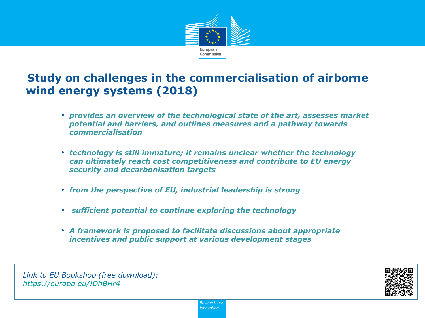

# **Study on challenges in the commercialisation of airborne wind energy systems (2018)**

- *provides an overview of the technological state of the art, assesses market potential and barriers, and outlines measures and a pathway towards commercialisation*
- *technology is still immature; it remains unclear whether the technology can ultimately reach cost competitiveness and contribute to EU energy security and decarbonisation targets*
- *from the perspective of EU, industrial leadership is strong*
- *sufficient potential to continue exploring the technology*
- *A framework is proposed to facilitate discussions about appropriate incentives and public support at various development stages*

*Link to EU Bookshop (free download): <https://europa.eu/!DhBHr4>*

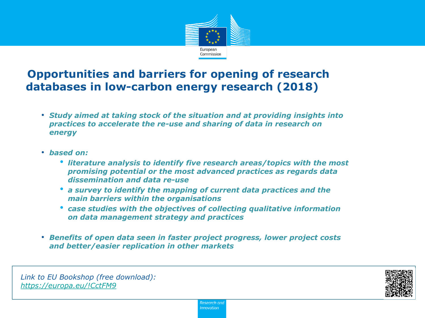

# **Opportunities and barriers for opening of research databases in low-carbon energy research (2018)**

- *Study aimed at taking stock of the situation and at providing insights into practices to accelerate the re-use and sharing of data in research on energy*
- *based on:* 
	- *literature analysis to identify five research areas/topics with the most promising potential or the most advanced practices as regards data dissemination and data re-use*
	- *a survey to identify the mapping of current data practices and the main barriers within the organisations*
	- *case studies with the objectives of collecting qualitative information on data management strategy and practices*
- *Benefits of open data seen in faster project progress, lower project costs and better/easier replication in other markets*

*Link to EU Bookshop (free download): <https://europa.eu/!CctFM9>*

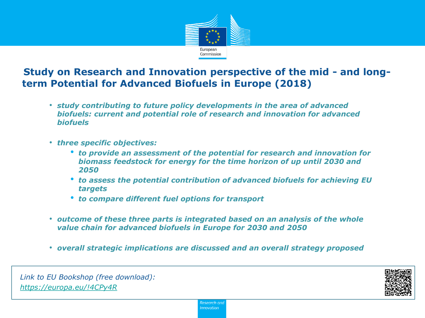

#### **Study on Research and Innovation perspective of the mid - and longterm Potential for Advanced Biofuels in Europe (2018)**

- *study contributing to future policy developments in the area of advanced biofuels: current and potential role of research and innovation for advanced biofuels*
- *three specific objectives:* 
	- *to provide an assessment of the potential for research and innovation for biomass feedstock for energy for the time horizon of up until 2030 and 2050*
	- *to assess the potential contribution of advanced biofuels for achieving EU targets*
	- *to compare different fuel options for transport*
- *outcome of these three parts is integrated based on an analysis of the whole value chain for advanced biofuels in Europe for 2030 and 2050*
- *overall strategic implications are discussed and an overall strategy proposed*

*Link to EU Bookshop (free download): <https://europa.eu/!4CPy4R>*

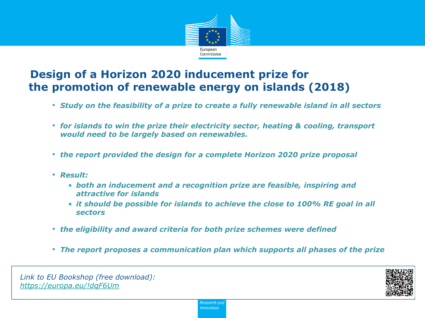

# **Design of a Horizon 2020 inducement prize for the promotion of renewable energy on islands (2018)**

- *Study on the feasibility of a prize to create a fully renewable island in all sectors*
- *for islands to win the prize their electricity sector, heating & cooling, transport would need to be largely based on renewables.*
- *the report provided the design for a complete Horizon 2020 prize proposal*
- *Result:* 
	- *both an inducement and a recognition prize are feasible, inspiring and attractive for islands*
	- *it should be possible for islands to achieve the close to 100% RE goal in all sectors*
- *the eligibility and award criteria for both prize schemes were defined*
- *The report proposes a communication plan which supports all phases of the prize*

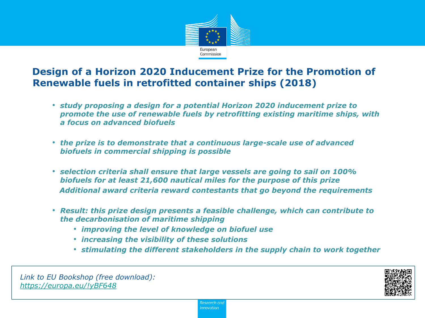

#### **Design of a Horizon 2020 Inducement Prize for the Promotion of Renewable fuels in retrofitted container ships (2018)**

- *study proposing a design for a potential Horizon 2020 inducement prize to promote the use of renewable fuels by retrofitting existing maritime ships, with a focus on advanced biofuels*
- *the prize is to demonstrate that a continuous large-scale use of advanced biofuels in commercial shipping is possible*
- *selection criteria shall ensure that large vessels are going to sail on 100% biofuels for at least 21,600 nautical miles for the purpose of this prize Additional award criteria reward contestants that go beyond the requirements*
- *Result: this prize design presents a feasible challenge, which can contribute to the decarbonisation of maritime shipping*
	- *improving the level of knowledge on biofuel use*
	- *increasing the visibility of these solutions*
	- *stimulating the different stakeholders in the supply chain to work together*

*Link to EU Bookshop (free download): <https://europa.eu/!yBF648>*

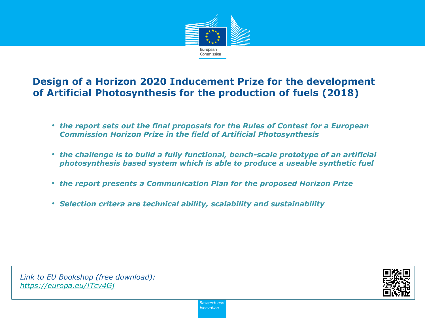

#### **Design of a Horizon 2020 Inducement Prize for the development of Artificial Photosynthesis for the production of fuels (2018)**

- *the report sets out the final proposals for the Rules of Contest for a European Commission Horizon Prize in the field of Artificial Photosynthesis*
- *the challenge is to build a fully functional, bench-scale prototype of an artificial photosynthesis based system which is able to produce a useable synthetic fuel*
- *the report presents a Communication Plan for the proposed Horizon Prize*
- *Selection critera are technical ability, scalability and sustainability*

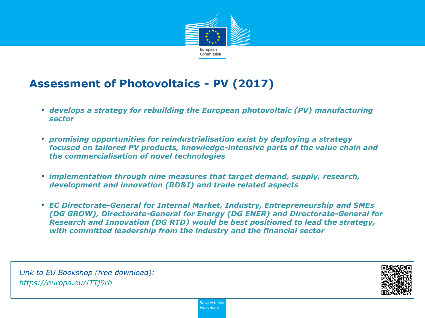

# **Assessment of Photovoltaics - PV (2017)**

- *develops a strategy for rebuilding the European photovoltaic (PV) manufacturing sector*
- *promising opportunities for reindustrialisation exist by deploying a strategy focused on tailored PV products, knowledge-intensive parts of the value chain and the commercialisation of novel technologies*
- *implementation through nine measures that target demand, supply, research, development and innovation (RD&I) and trade related aspects*
- *EC Directorate-General for Internal Market, Industry, Entrepreneurship and SMEs (DG GROW), Directorate-General for Energy (DG ENER) and Directorate-General for Research and Innovation (DG RTD) would be best positioned to lead the strategy, with committed leadership from the industry and the financial sector*

*Link to EU Bookshop (free download): <https://europa.eu/!TTj9rh>*

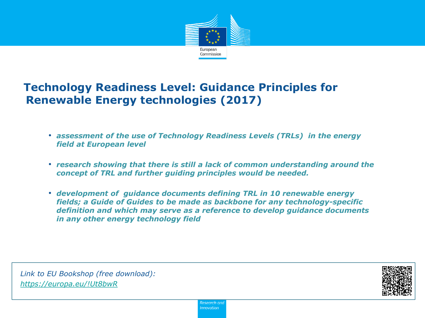

# **Technology Readiness Level: Guidance Principles for Renewable Energy technologies (2017)**

- *assessment of the use of Technology Readiness Levels (TRLs) in the energy field at European level*
- *research showing that there is still a lack of common understanding around the concept of TRL and further guiding principles would be needed.*
- *development of guidance documents defining TRL in 10 renewable energy fields; a Guide of Guides to be made as backbone for any technology-specific definition and which may serve as a reference to develop guidance documents in any other energy technology field*

*Link to EU Bookshop (free download): <https://europa.eu/!Ut8bwR>*

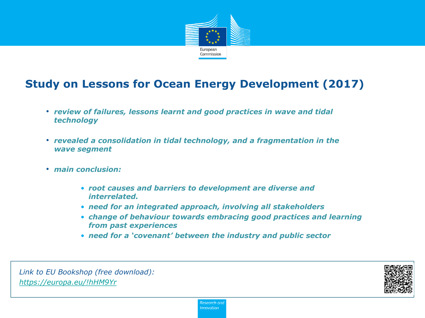

# **Study on Lessons for Ocean Energy Development (2017)**

- *review of failures, lessons learnt and good practices in wave and tidal technology*
- *revealed a consolidation in tidal technology, and a fragmentation in the wave segment*
- *main conclusion:* 
	- *root causes and barriers to development are diverse and interrelated.*
	- *need for an integrated approach, involving all stakeholders*
	- *change of behaviour towards embracing good practices and learning from past experiences*
	- *need for a 'covenant' between the industry and public sector*

*Link to EU Bookshop (free download): <https://europa.eu/!hHM9Yr>*

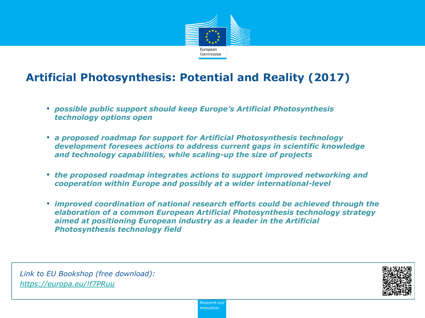

# **Artificial Photosynthesis: Potential and Reality (2017)**

- *possible public support should keep Europe's Artificial Photosynthesis technology options open*
- *a proposed roadmap for support for Artificial Photosynthesis technology development foresees actions to address current gaps in scientific knowledge and technology capabilities, while scaling-up the size of projects*
- *the proposed roadmap integrates actions to support improved networking and cooperation within Europe and possibly at a wider international-level*
- *improved coordination of national research efforts could be achieved through the elaboration of a common European Artificial Photosynthesis technology strategy aimed at positioning European industry as a leader in the Artificial Photosynthesis technology field*

*Link to EU Bookshop (free download): <https://europa.eu/!f7PRuu>*